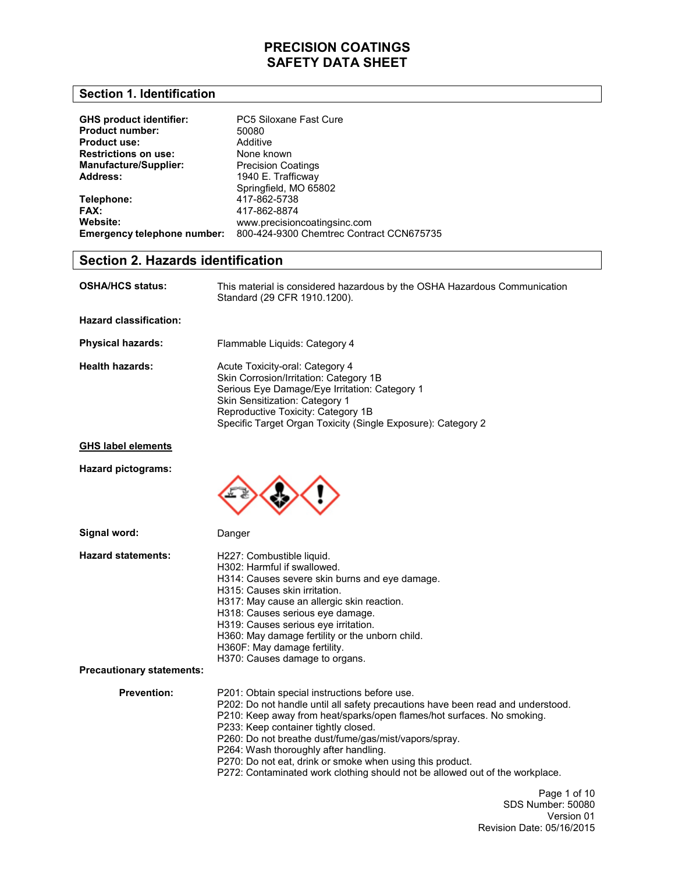### **Section 1. Identification**

| <b>GHS product identifier:</b> | PC5 Siloxane Fast Cure                   |
|--------------------------------|------------------------------------------|
| <b>Product number:</b>         | 50080                                    |
| <b>Product use:</b>            | Additive                                 |
| <b>Restrictions on use:</b>    | None known                               |
| <b>Manufacture/Supplier:</b>   | <b>Precision Coatings</b>                |
| Address:                       | 1940 E. Trafficway                       |
|                                | Springfield, MO 65802                    |
| Telephone:                     | 417-862-5738                             |
| FAX:                           | 417-862-8874                             |
| Website:                       | www.precisioncoatingsinc.com             |
| Emergency telephone number:    | 800-424-9300 Chemtrec Contract CCN675735 |

## **Section 2. Hazards identification**

| <b>OSHA/HCS status:</b> | This material is considered hazardous by the OSHA Hazardous Communication |
|-------------------------|---------------------------------------------------------------------------|
|                         | Standard (29 CFR 1910.1200).                                              |

**Hazard classification:** 

| <b>Physical hazards:</b> | Flammable Liquids: Category 4                                                                                                                                                                                                                                      |
|--------------------------|--------------------------------------------------------------------------------------------------------------------------------------------------------------------------------------------------------------------------------------------------------------------|
| <b>Health hazards:</b>   | Acute Toxicity-oral: Category 4<br>Skin Corrosion/Irritation: Category 1B<br>Serious Eye Damage/Eye Irritation: Category 1<br>Skin Sensitization: Category 1<br>Reproductive Toxicity: Category 1B<br>Specific Target Organ Toxicity (Single Exposure): Category 2 |

### **GHS label elements**

**Hazard pictograms:** 



Danger

| Signal word:              |
|---------------------------|
| <b>Hazard statements:</b> |

| <b>Hazard statements:</b>        | H227: Combustible liquid.<br>H302: Harmful if swallowed.<br>H314: Causes severe skin burns and eye damage.<br>H315: Causes skin irritation.<br>H317: May cause an allergic skin reaction.<br>H318: Causes serious eye damage.<br>H319: Causes serious eve irritation.<br>H360: May damage fertility or the unborn child.<br>H360F: May damage fertility.<br>H370: Causes damage to organs. |
|----------------------------------|--------------------------------------------------------------------------------------------------------------------------------------------------------------------------------------------------------------------------------------------------------------------------------------------------------------------------------------------------------------------------------------------|
| <b>Precautionary statements:</b> |                                                                                                                                                                                                                                                                                                                                                                                            |
| <b>Prevention:</b>               | P201: Obtain special instructions before use.<br>P202: Do not handle until all safety precautions have been read and understood.<br>P210: Keep away from heat/sparks/open flames/hot surfaces. No smoking.<br>P233: Keep container tightly closed.<br>P260: Do not breathe dust/fume/gas/mist/vapors/spray.                                                                                |

P264: Wash thoroughly after handling.

P270: Do not eat, drink or smoke when using this product. P272: Contaminated work clothing should not be allowed out of the workplace.

> Page 1 of 10 SDS Number: 50080 Version 01 Revision Date: 05/16/2015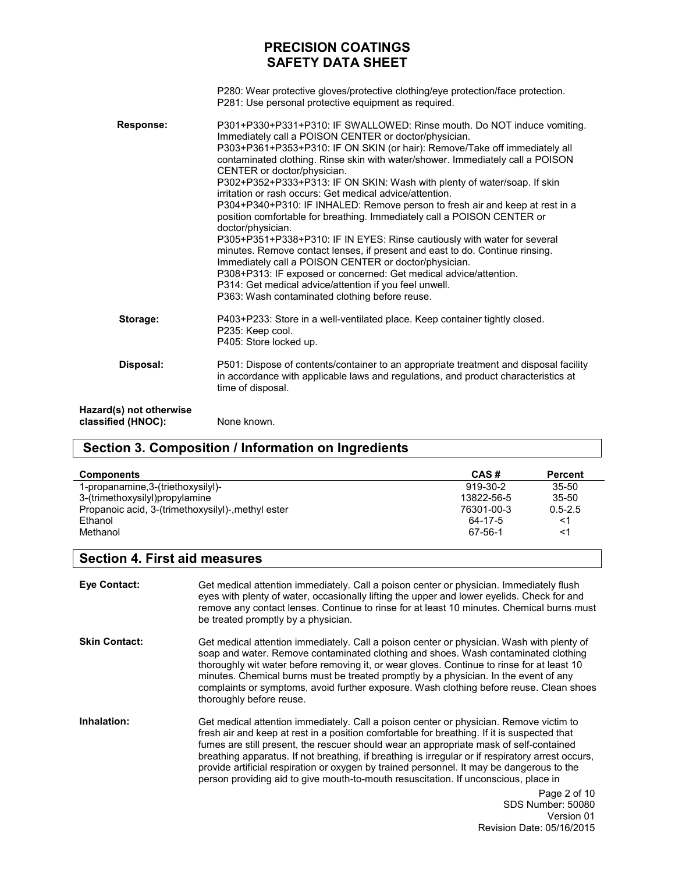|                                               | P280: Wear protective gloves/protective clothing/eye protection/face protection.<br>P281: Use personal protective equipment as required.                                                                                                                                                                                                                                                                                                                                                                                                                                                                                                                                                                                                                                                                                                                                                                                                                                                                                                                      |
|-----------------------------------------------|---------------------------------------------------------------------------------------------------------------------------------------------------------------------------------------------------------------------------------------------------------------------------------------------------------------------------------------------------------------------------------------------------------------------------------------------------------------------------------------------------------------------------------------------------------------------------------------------------------------------------------------------------------------------------------------------------------------------------------------------------------------------------------------------------------------------------------------------------------------------------------------------------------------------------------------------------------------------------------------------------------------------------------------------------------------|
| Response:                                     | P301+P330+P331+P310: IF SWALLOWED: Rinse mouth. Do NOT induce vomiting.<br>Immediately call a POISON CENTER or doctor/physician.<br>P303+P361+P353+P310: IF ON SKIN (or hair): Remove/Take off immediately all<br>contaminated clothing. Rinse skin with water/shower. Immediately call a POISON<br>CENTER or doctor/physician.<br>P302+P352+P333+P313: IF ON SKIN: Wash with plenty of water/soap. If skin<br>irritation or rash occurs: Get medical advice/attention.<br>P304+P340+P310: IF INHALED: Remove person to fresh air and keep at rest in a<br>position comfortable for breathing. Immediately call a POISON CENTER or<br>doctor/physician.<br>P305+P351+P338+P310: IF IN EYES: Rinse cautiously with water for several<br>minutes. Remove contact lenses, if present and east to do. Continue rinsing.<br>Immediately call a POISON CENTER or doctor/physician.<br>P308+P313: IF exposed or concerned: Get medical advice/attention.<br>P314: Get medical advice/attention if you feel unwell.<br>P363: Wash contaminated clothing before reuse. |
| Storage:                                      | P403+P233: Store in a well-ventilated place. Keep container tightly closed.<br>P235: Keep cool.<br>P405: Store locked up.                                                                                                                                                                                                                                                                                                                                                                                                                                                                                                                                                                                                                                                                                                                                                                                                                                                                                                                                     |
| Disposal:                                     | P501: Dispose of contents/container to an appropriate treatment and disposal facility<br>in accordance with applicable laws and regulations, and product characteristics at<br>time of disposal.                                                                                                                                                                                                                                                                                                                                                                                                                                                                                                                                                                                                                                                                                                                                                                                                                                                              |
| Hazard(s) not otherwise<br>classified (HNOC): | None known.                                                                                                                                                                                                                                                                                                                                                                                                                                                                                                                                                                                                                                                                                                                                                                                                                                                                                                                                                                                                                                                   |

# **Section 3. Composition / Information on Ingredients**

| <b>Components</b>                                  | CAS#       | <b>Percent</b> |
|----------------------------------------------------|------------|----------------|
| 1-propanamine, 3-(triethoxysilyl)-                 | 919-30-2   | $35 - 50$      |
| 3-(trimethoxysilyl)propylamine                     | 13822-56-5 | $35 - 50$      |
| Propanoic acid, 3-(trimethoxysilyl)-, methyl ester | 76301-00-3 | $0.5 - 2.5$    |
| Ethanol                                            | 64-17-5    | <1             |
| Methanol                                           | 67-56-1    | <1             |

## **Section 4. First aid measures**

| <b>Eve Contact:</b>  | Get medical attention immediately. Call a poison center or physician. Immediately flush<br>eyes with plenty of water, occasionally lifting the upper and lower eyelids. Check for and<br>remove any contact lenses. Continue to rinse for at least 10 minutes. Chemical burns must<br>be treated promptly by a physician.                                                                                                                                                                                                                                                |
|----------------------|--------------------------------------------------------------------------------------------------------------------------------------------------------------------------------------------------------------------------------------------------------------------------------------------------------------------------------------------------------------------------------------------------------------------------------------------------------------------------------------------------------------------------------------------------------------------------|
| <b>Skin Contact:</b> | Get medical attention immediately. Call a poison center or physician. Wash with plenty of<br>soap and water. Remove contaminated clothing and shoes. Wash contaminated clothing<br>thoroughly wit water before removing it, or wear gloves. Continue to rinse for at least 10<br>minutes. Chemical burns must be treated promptly by a physician. In the event of any<br>complaints or symptoms, avoid further exposure. Wash clothing before reuse. Clean shoes<br>thoroughly before reuse.                                                                             |
| Inhalation:          | Get medical attention immediately. Call a poison center or physician. Remove victim to<br>fresh air and keep at rest in a position comfortable for breathing. If it is suspected that<br>fumes are still present, the rescuer should wear an appropriate mask of self-contained<br>breathing apparatus. If not breathing, if breathing is irregular or if respiratory arrest occurs,<br>provide artificial respiration or oxygen by trained personnel. It may be dangerous to the<br>person providing aid to give mouth-to-mouth resuscitation. If unconscious, place in |
|                      | Page 2 of 10<br>SDS Number: 50080<br>Version 01                                                                                                                                                                                                                                                                                                                                                                                                                                                                                                                          |

Revision Date: 05/16/2015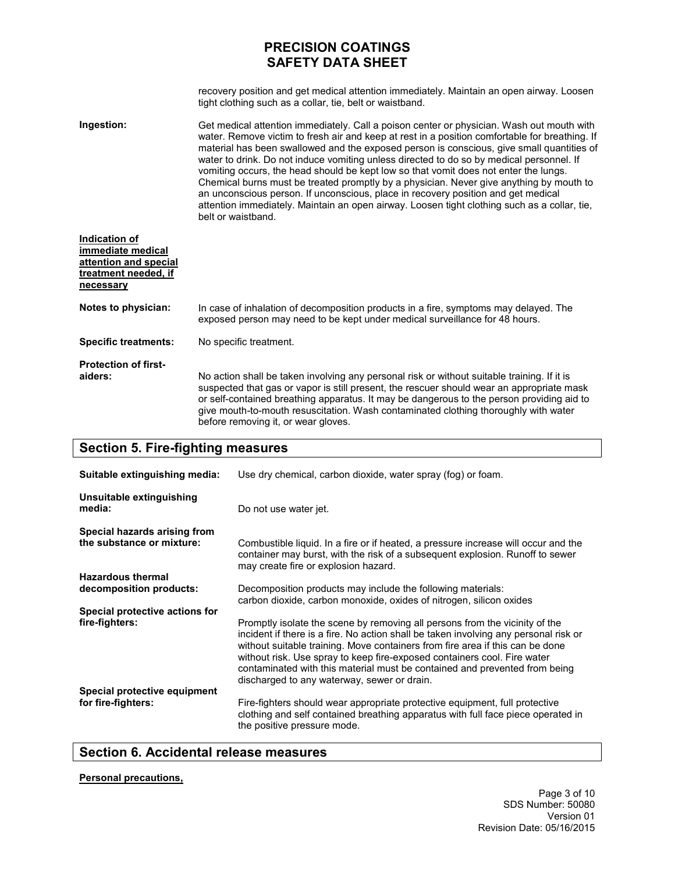recovery position and get medical attention immediately. Maintain an open airway. Loosen tight clothing such as a collar, tie, belt or waistband.

**Ingestion:**  Get medical attention immediately. Call a poison center or physician. Wash out mouth with water. Remove victim to fresh air and keep at rest in a position comfortable for breathing. If material has been swallowed and the exposed person is conscious, give small quantities of water to drink. Do not induce vomiting unless directed to do so by medical personnel. If vomiting occurs, the head should be kept low so that vomit does not enter the lungs. Chemical burns must be treated promptly by a physician. Never give anything by mouth to an unconscious person. If unconscious, place in recovery position and get medical attention immediately. Maintain an open airway. Loosen tight clothing such as a collar, tie, belt or waistband.

| Indication of<br>immediate medical<br>attention and special<br>treatment needed, if<br>necessary |                                                                                                                                                                                                                                                                                                                                                                                                                     |
|--------------------------------------------------------------------------------------------------|---------------------------------------------------------------------------------------------------------------------------------------------------------------------------------------------------------------------------------------------------------------------------------------------------------------------------------------------------------------------------------------------------------------------|
| Notes to physician:                                                                              | In case of inhalation of decomposition products in a fire, symptoms may delayed. The<br>exposed person may need to be kept under medical surveillance for 48 hours.                                                                                                                                                                                                                                                 |
| <b>Specific treatments:</b>                                                                      | No specific treatment.                                                                                                                                                                                                                                                                                                                                                                                              |
| <b>Protection of first-</b><br>aiders:                                                           | No action shall be taken involving any personal risk or without suitable training. If it is<br>suspected that gas or vapor is still present, the rescuer should wear an appropriate mask<br>or self-contained breathing apparatus. It may be dangerous to the person providing aid to<br>give mouth-to-mouth resuscitation. Wash contaminated clothing thoroughly with water<br>before removing it, or wear gloves. |

### **Section 5. Fire-fighting measures**

| Suitable extinguishing media:                             | Use dry chemical, carbon dioxide, water spray (fog) or foam.                                                                                                                                                                                                                                                                                                                                                                                                  |
|-----------------------------------------------------------|---------------------------------------------------------------------------------------------------------------------------------------------------------------------------------------------------------------------------------------------------------------------------------------------------------------------------------------------------------------------------------------------------------------------------------------------------------------|
| Unsuitable extinguishing<br>media:                        | Do not use water jet.                                                                                                                                                                                                                                                                                                                                                                                                                                         |
| Special hazards arising from<br>the substance or mixture: | Combustible liquid. In a fire or if heated, a pressure increase will occur and the<br>container may burst, with the risk of a subsequent explosion. Runoff to sewer<br>may create fire or explosion hazard.                                                                                                                                                                                                                                                   |
| <b>Hazardous thermal</b><br>decomposition products:       | Decomposition products may include the following materials:<br>carbon dioxide, carbon monoxide, oxides of nitrogen, silicon oxides                                                                                                                                                                                                                                                                                                                            |
| Special protective actions for<br>fire-fighters:          | Promptly isolate the scene by removing all persons from the vicinity of the<br>incident if there is a fire. No action shall be taken involving any personal risk or<br>without suitable training. Move containers from fire area if this can be done<br>without risk. Use spray to keep fire-exposed containers cool. Fire water<br>contaminated with this material must be contained and prevented from being<br>discharged to any waterway, sewer or drain. |
| Special protective equipment<br>for fire-fighters:        | Fire-fighters should wear appropriate protective equipment, full protective<br>clothing and self contained breathing apparatus with full face piece operated in<br>the positive pressure mode.                                                                                                                                                                                                                                                                |

## **Section 6. Accidental release measures**

### **Personal precautions,**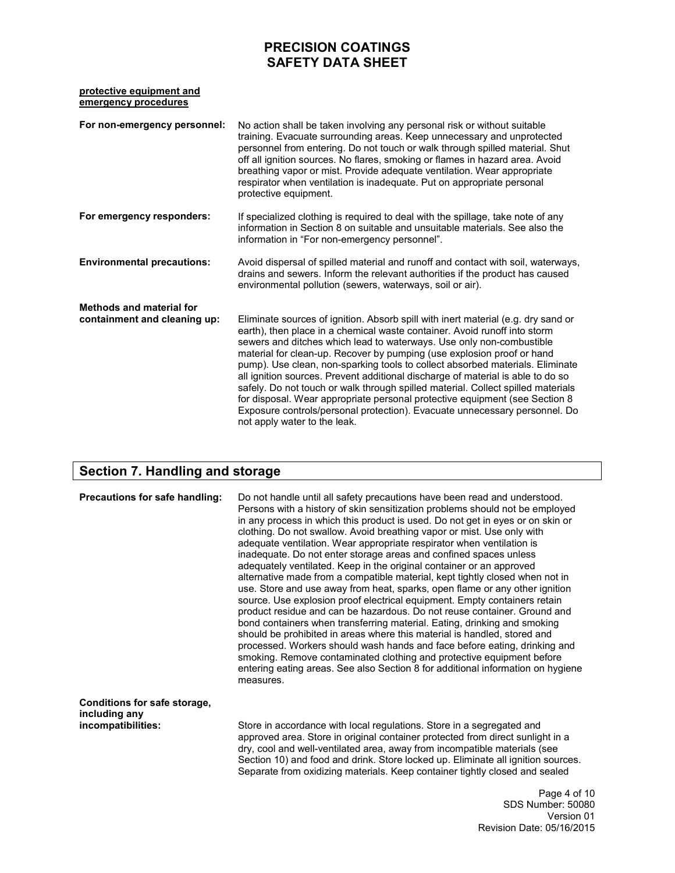### **protective equipment and emergency procedures**

| For non-emergency personnel:                                    | No action shall be taken involving any personal risk or without suitable<br>training. Evacuate surrounding areas. Keep unnecessary and unprotected<br>personnel from entering. Do not touch or walk through spilled material. Shut<br>off all ignition sources. No flares, smoking or flames in hazard area. Avoid<br>breathing vapor or mist. Provide adequate ventilation. Wear appropriate<br>respirator when ventilation is inadequate. Put on appropriate personal<br>protective equipment.                                                                                                                                                                                                                                                                      |
|-----------------------------------------------------------------|-----------------------------------------------------------------------------------------------------------------------------------------------------------------------------------------------------------------------------------------------------------------------------------------------------------------------------------------------------------------------------------------------------------------------------------------------------------------------------------------------------------------------------------------------------------------------------------------------------------------------------------------------------------------------------------------------------------------------------------------------------------------------|
| For emergency responders:                                       | If specialized clothing is required to deal with the spillage, take note of any<br>information in Section 8 on suitable and unsuitable materials. See also the<br>information in "For non-emergency personnel".                                                                                                                                                                                                                                                                                                                                                                                                                                                                                                                                                       |
| <b>Environmental precautions:</b>                               | Avoid dispersal of spilled material and runoff and contact with soil, waterways,<br>drains and sewers. Inform the relevant authorities if the product has caused<br>environmental pollution (sewers, waterways, soil or air).                                                                                                                                                                                                                                                                                                                                                                                                                                                                                                                                         |
| <b>Methods and material for</b><br>containment and cleaning up: | Eliminate sources of ignition. Absorb spill with inert material (e.g. dry sand or<br>earth), then place in a chemical waste container. Avoid runoff into storm<br>sewers and ditches which lead to waterways. Use only non-combustible<br>material for clean-up. Recover by pumping (use explosion proof or hand<br>pump). Use clean, non-sparking tools to collect absorbed materials. Eliminate<br>all ignition sources. Prevent additional discharge of material is able to do so<br>safely. Do not touch or walk through spilled material. Collect spilled materials<br>for disposal. Wear appropriate personal protective equipment (see Section 8<br>Exposure controls/personal protection). Evacuate unnecessary personnel. Do<br>not apply water to the leak. |

## **Section 7. Handling and storage**

| Precautions for safe handling:                                      | Do not handle until all safety precautions have been read and understood.<br>Persons with a history of skin sensitization problems should not be employed<br>in any process in which this product is used. Do not get in eyes or on skin or<br>clothing. Do not swallow. Avoid breathing vapor or mist. Use only with<br>adequate ventilation. Wear appropriate respirator when ventilation is<br>inadequate. Do not enter storage areas and confined spaces unless<br>adequately ventilated. Keep in the original container or an approved<br>alternative made from a compatible material, kept tightly closed when not in<br>use. Store and use away from heat, sparks, open flame or any other ignition<br>source. Use explosion proof electrical equipment. Empty containers retain<br>product residue and can be hazardous. Do not reuse container. Ground and<br>bond containers when transferring material. Eating, drinking and smoking<br>should be prohibited in areas where this material is handled, stored and<br>processed. Workers should wash hands and face before eating, drinking and<br>smoking. Remove contaminated clothing and protective equipment before<br>entering eating areas. See also Section 8 for additional information on hygiene<br>measures. |
|---------------------------------------------------------------------|-----------------------------------------------------------------------------------------------------------------------------------------------------------------------------------------------------------------------------------------------------------------------------------------------------------------------------------------------------------------------------------------------------------------------------------------------------------------------------------------------------------------------------------------------------------------------------------------------------------------------------------------------------------------------------------------------------------------------------------------------------------------------------------------------------------------------------------------------------------------------------------------------------------------------------------------------------------------------------------------------------------------------------------------------------------------------------------------------------------------------------------------------------------------------------------------------------------------------------------------------------------------------------------|
| Conditions for safe storage,<br>including any<br>incompatibilities: | Store in accordance with local regulations. Store in a segregated and<br>approved area. Store in original container protected from direct sunlight in a<br>dry, cool and well-ventilated area, away from incompatible materials (see<br>Section 10) and food and drink. Store locked up. Eliminate all ignition sources.<br>Separate from oxidizing materials. Keep container tightly closed and sealed                                                                                                                                                                                                                                                                                                                                                                                                                                                                                                                                                                                                                                                                                                                                                                                                                                                                           |
|                                                                     | Page 4 of 1<br>SDS Number: 5008                                                                                                                                                                                                                                                                                                                                                                                                                                                                                                                                                                                                                                                                                                                                                                                                                                                                                                                                                                                                                                                                                                                                                                                                                                                   |

 $\overline{\mathbf{0}}$ SDS Number: 50080 Version 01 Revision Date: 05/16/2015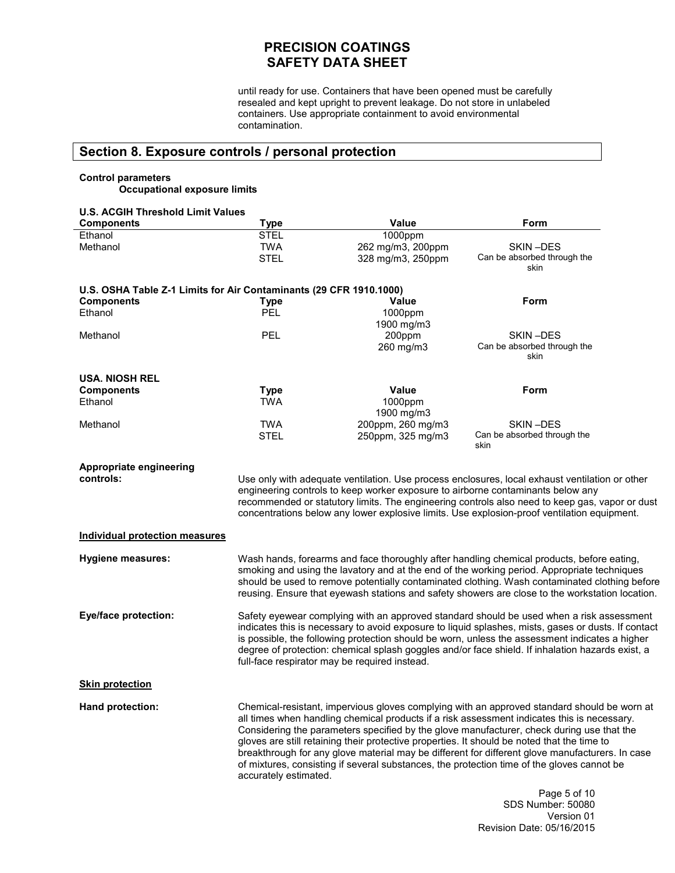until ready for use. Containers that have been opened must be carefully resealed and kept upright to prevent leakage. Do not store in unlabeled containers. Use appropriate containment to avoid environmental contamination.

## **Section 8. Exposure controls / personal protection**

### **Control parameters Occupational exposure limits**

| <b>U.S. ACGIH Threshold Limit Values</b>                           |                           |                                                                                 |                                                                                                                                                                                                                                                                                                                                                                                                                                                                                                                                                                                         |
|--------------------------------------------------------------------|---------------------------|---------------------------------------------------------------------------------|-----------------------------------------------------------------------------------------------------------------------------------------------------------------------------------------------------------------------------------------------------------------------------------------------------------------------------------------------------------------------------------------------------------------------------------------------------------------------------------------------------------------------------------------------------------------------------------------|
| <b>Components</b>                                                  | <b>Type</b>               | Value                                                                           | Form                                                                                                                                                                                                                                                                                                                                                                                                                                                                                                                                                                                    |
| Ethanol<br>Methanol                                                | <b>STEL</b><br><b>TWA</b> | 1000ppm<br>262 mg/m3, 200ppm                                                    | SKIN-DES                                                                                                                                                                                                                                                                                                                                                                                                                                                                                                                                                                                |
|                                                                    | <b>STEL</b>               | 328 mg/m3, 250ppm                                                               | Can be absorbed through the<br>skin                                                                                                                                                                                                                                                                                                                                                                                                                                                                                                                                                     |
| U.S. OSHA Table Z-1 Limits for Air Contaminants (29 CFR 1910.1000) |                           |                                                                                 |                                                                                                                                                                                                                                                                                                                                                                                                                                                                                                                                                                                         |
| <b>Components</b>                                                  | <b>Type</b>               | <b>Value</b>                                                                    | Form                                                                                                                                                                                                                                                                                                                                                                                                                                                                                                                                                                                    |
| Ethanol                                                            | PEL                       | 1000ppm<br>1900 mg/m3                                                           |                                                                                                                                                                                                                                                                                                                                                                                                                                                                                                                                                                                         |
| Methanol                                                           | PEL                       | 200ppm<br>260 mg/m3                                                             | SKIN-DES<br>Can be absorbed through the<br>skin                                                                                                                                                                                                                                                                                                                                                                                                                                                                                                                                         |
| <b>USA. NIOSH REL</b>                                              |                           |                                                                                 |                                                                                                                                                                                                                                                                                                                                                                                                                                                                                                                                                                                         |
| <b>Components</b>                                                  | <b>Type</b>               | Value                                                                           | Form                                                                                                                                                                                                                                                                                                                                                                                                                                                                                                                                                                                    |
| Ethanol                                                            | <b>TWA</b>                | 1000ppm<br>1900 mg/m3                                                           |                                                                                                                                                                                                                                                                                                                                                                                                                                                                                                                                                                                         |
| Methanol                                                           | <b>TWA</b>                | 200ppm, 260 mg/m3                                                               | SKIN-DES                                                                                                                                                                                                                                                                                                                                                                                                                                                                                                                                                                                |
|                                                                    | <b>STEL</b>               | 250ppm, 325 mg/m3                                                               | Can be absorbed through the<br>skin                                                                                                                                                                                                                                                                                                                                                                                                                                                                                                                                                     |
| Appropriate engineering                                            |                           |                                                                                 |                                                                                                                                                                                                                                                                                                                                                                                                                                                                                                                                                                                         |
| controls:                                                          |                           |                                                                                 | Use only with adequate ventilation. Use process enclosures, local exhaust ventilation or other                                                                                                                                                                                                                                                                                                                                                                                                                                                                                          |
|                                                                    |                           | engineering controls to keep worker exposure to airborne contaminants below any |                                                                                                                                                                                                                                                                                                                                                                                                                                                                                                                                                                                         |
|                                                                    |                           |                                                                                 | recommended or statutory limits. The engineering controls also need to keep gas, vapor or dust                                                                                                                                                                                                                                                                                                                                                                                                                                                                                          |
|                                                                    |                           |                                                                                 | concentrations below any lower explosive limits. Use explosion-proof ventilation equipment.                                                                                                                                                                                                                                                                                                                                                                                                                                                                                             |
| <b>Individual protection measures</b>                              |                           |                                                                                 |                                                                                                                                                                                                                                                                                                                                                                                                                                                                                                                                                                                         |
| <b>Hygiene measures:</b>                                           |                           |                                                                                 | Wash hands, forearms and face thoroughly after handling chemical products, before eating,<br>smoking and using the lavatory and at the end of the working period. Appropriate techniques<br>should be used to remove potentially contaminated clothing. Wash contaminated clothing before<br>reusing. Ensure that eyewash stations and safety showers are close to the workstation location.                                                                                                                                                                                            |
| <b>Eye/face protection:</b>                                        |                           | full-face respirator may be required instead.                                   | Safety eyewear complying with an approved standard should be used when a risk assessment<br>indicates this is necessary to avoid exposure to liquid splashes, mists, gases or dusts. If contact<br>is possible, the following protection should be worn, unless the assessment indicates a higher<br>degree of protection: chemical splash goggles and/or face shield. If inhalation hazards exist, a                                                                                                                                                                                   |
| <b>Skin protection</b>                                             |                           |                                                                                 |                                                                                                                                                                                                                                                                                                                                                                                                                                                                                                                                                                                         |
| Hand protection:                                                   | accurately estimated.     |                                                                                 | Chemical-resistant, impervious gloves complying with an approved standard should be worn at<br>all times when handling chemical products if a risk assessment indicates this is necessary.<br>Considering the parameters specified by the glove manufacturer, check during use that the<br>gloves are still retaining their protective properties. It should be noted that the time to<br>breakthrough for any glove material may be different for different glove manufacturers. In case<br>of mixtures, consisting if several substances, the protection time of the gloves cannot be |
|                                                                    |                           |                                                                                 | Page 5 of 10<br>SDS Number: 50080                                                                                                                                                                                                                                                                                                                                                                                                                                                                                                                                                       |

SDS Number: 50080 Version 01 Revision Date: 05/16/2015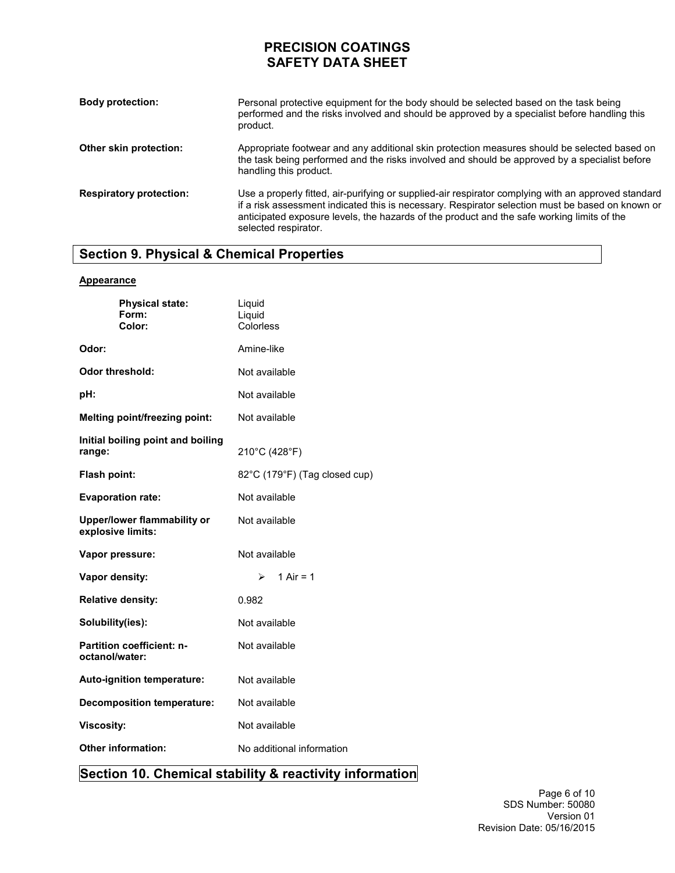| <b>Body protection:</b>        | Personal protective equipment for the body should be selected based on the task being<br>performed and the risks involved and should be approved by a specialist before handling this<br>product.                                                                                                                             |
|--------------------------------|-------------------------------------------------------------------------------------------------------------------------------------------------------------------------------------------------------------------------------------------------------------------------------------------------------------------------------|
| Other skin protection:         | Appropriate footwear and any additional skin protection measures should be selected based on<br>the task being performed and the risks involved and should be approved by a specialist before<br>handling this product.                                                                                                       |
| <b>Respiratory protection:</b> | Use a properly fitted, air-purifying or supplied-air respirator complying with an approved standard<br>if a risk assessment indicated this is necessary. Respirator selection must be based on known or<br>anticipated exposure levels, the hazards of the product and the safe working limits of the<br>selected respirator. |

# **Section 9. Physical & Chemical Properties**

### **Appearance**

| <b>Physical state:</b><br>Form:<br>Color:               | Liquid<br>Liquid<br>Colorless |
|---------------------------------------------------------|-------------------------------|
| Odor:                                                   | Amine-like                    |
| Odor threshold:                                         | Not available                 |
| pH:                                                     | Not available                 |
| Melting point/freezing point:                           | Not available                 |
| Initial boiling point and boiling<br>range:             | 210°C (428°F)                 |
| Flash point:                                            | 82°C (179°F) (Tag closed cup) |
| <b>Evaporation rate:</b>                                | Not available                 |
| <b>Upper/lower flammability or</b><br>explosive limits: | Not available                 |
| Vapor pressure:                                         | Not available                 |
| Vapor density:                                          | 1 Air = 1<br>≻                |
| <b>Relative density:</b>                                | 0.982                         |
| Solubility(ies):                                        | Not available                 |
| <b>Partition coefficient: n-</b><br>octanol/water:      | Not available                 |
| Auto-ignition temperature:                              | Not available                 |
| <b>Decomposition temperature:</b>                       | Not available                 |
| <b>Viscosity:</b>                                       | Not available                 |
| <b>Other information:</b>                               | No additional information     |

## **Section 10. Chemical stability & reactivity information**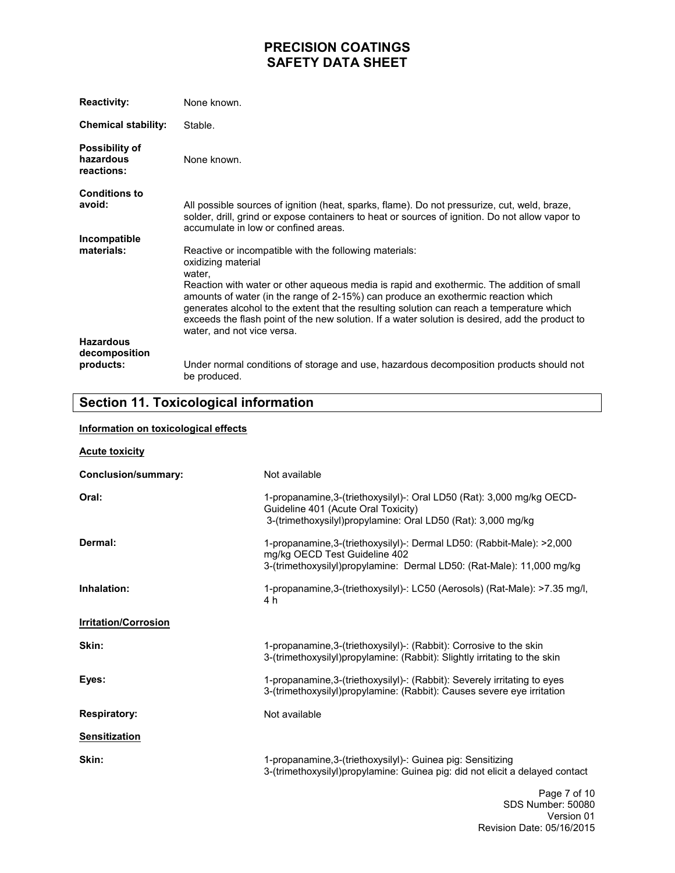| <b>Reactivity:</b>                               | None known.                                                                                                                                                                                                                                                                                                                                                                                                                                                                                            |
|--------------------------------------------------|--------------------------------------------------------------------------------------------------------------------------------------------------------------------------------------------------------------------------------------------------------------------------------------------------------------------------------------------------------------------------------------------------------------------------------------------------------------------------------------------------------|
| <b>Chemical stability:</b>                       | Stable.                                                                                                                                                                                                                                                                                                                                                                                                                                                                                                |
| <b>Possibility of</b><br>hazardous<br>reactions: | None known.                                                                                                                                                                                                                                                                                                                                                                                                                                                                                            |
| <b>Conditions to</b><br>avoid:                   | All possible sources of ignition (heat, sparks, flame). Do not pressurize, cut, weld, braze,<br>solder, drill, grind or expose containers to heat or sources of ignition. Do not allow vapor to<br>accumulate in low or confined areas.                                                                                                                                                                                                                                                                |
| Incompatible<br>materials:                       | Reactive or incompatible with the following materials:<br>oxidizing material<br>water,<br>Reaction with water or other aqueous media is rapid and exothermic. The addition of small<br>amounts of water (in the range of 2-15%) can produce an exothermic reaction which<br>generates alcohol to the extent that the resulting solution can reach a temperature which<br>exceeds the flash point of the new solution. If a water solution is desired, add the product to<br>water, and not vice versa. |
| <b>Hazardous</b><br>decomposition<br>products:   | Under normal conditions of storage and use, hazardous decomposition products should not<br>be produced.                                                                                                                                                                                                                                                                                                                                                                                                |

## **Section 11. Toxicological information**

### **Information on toxicological effects**

| <b>Acute toxicity</b>       |                                                                                                                                                                                  |
|-----------------------------|----------------------------------------------------------------------------------------------------------------------------------------------------------------------------------|
| <b>Conclusion/summary:</b>  | Not available                                                                                                                                                                    |
| Oral:                       | 1-propanamine, 3-(triethoxysilyl)-: Oral LD50 (Rat): 3,000 mg/kg OECD-<br>Guideline 401 (Acute Oral Toxicity)<br>3-(trimethoxysilyl)propylamine: Oral LD50 (Rat): 3,000 mg/kg    |
| Dermal:                     | 1-propanamine, 3-(triethoxysilyl)-: Dermal LD50: (Rabbit-Male): >2,000<br>mg/kg OECD Test Guideline 402<br>3-(trimethoxysilyl)propylamine: Dermal LD50: (Rat-Male): 11,000 mg/kg |
| Inhalation:                 | 1-propanamine, 3-(triethoxysilyl)-: LC50 (Aerosols) (Rat-Male): >7.35 mg/l,<br>4 h                                                                                               |
| <b>Irritation/Corrosion</b> |                                                                                                                                                                                  |
| Skin:                       | 1-propanamine, 3-(triethoxysilyl)-: (Rabbit): Corrosive to the skin<br>3-(trimethoxysilyl)propylamine: (Rabbit): Slightly irritating to the skin                                 |
| Eyes:                       | 1-propanamine, 3-(triethoxysilyl)-: (Rabbit): Severely irritating to eyes<br>3-(trimethoxysilyl)propylamine: (Rabbit): Causes severe eye irritation                              |
| <b>Respiratory:</b>         | Not available                                                                                                                                                                    |
| <b>Sensitization</b>        |                                                                                                                                                                                  |
| Skin:                       | 1-propanamine, 3-(triethoxysilyl)-: Guinea pig: Sensitizing<br>3-(trimethoxysilyl)propylamine: Guinea pig: did not elicit a delayed contact                                      |
|                             | Page 7 of 10<br>$000h$ $\ldots$ $\ldots$ $0000$                                                                                                                                  |

SDS Number: 50080 Version 01 Revision Date: 05/16/2015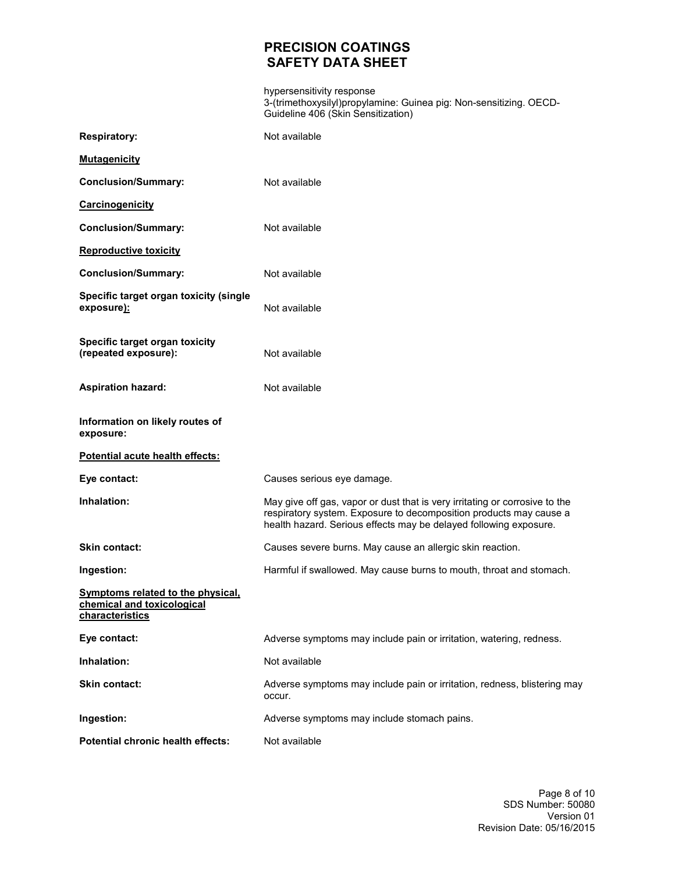hypersensitivity response 3-(trimethoxysilyl)propylamine: Guinea pig: Non-sensitizing. OECD-Guideline 406 (Skin Sensitization)

| <b>Respiratory:</b>                                                                       | Not available                                                                                                                                                                                                          |
|-------------------------------------------------------------------------------------------|------------------------------------------------------------------------------------------------------------------------------------------------------------------------------------------------------------------------|
| <b>Mutagenicity</b>                                                                       |                                                                                                                                                                                                                        |
| <b>Conclusion/Summary:</b>                                                                | Not available                                                                                                                                                                                                          |
| Carcinogenicity                                                                           |                                                                                                                                                                                                                        |
| <b>Conclusion/Summary:</b>                                                                | Not available                                                                                                                                                                                                          |
| <b>Reproductive toxicity</b>                                                              |                                                                                                                                                                                                                        |
| <b>Conclusion/Summary:</b>                                                                | Not available                                                                                                                                                                                                          |
| Specific target organ toxicity (single<br>exposure):                                      | Not available                                                                                                                                                                                                          |
| Specific target organ toxicity<br>(repeated exposure):                                    | Not available                                                                                                                                                                                                          |
| <b>Aspiration hazard:</b>                                                                 | Not available                                                                                                                                                                                                          |
| Information on likely routes of<br>exposure:                                              |                                                                                                                                                                                                                        |
| Potential acute health effects:                                                           |                                                                                                                                                                                                                        |
| Eye contact:                                                                              | Causes serious eye damage.                                                                                                                                                                                             |
| Inhalation:                                                                               | May give off gas, vapor or dust that is very irritating or corrosive to the<br>respiratory system. Exposure to decomposition products may cause a<br>health hazard. Serious effects may be delayed following exposure. |
| Skin contact:                                                                             | Causes severe burns. May cause an allergic skin reaction.                                                                                                                                                              |
| Ingestion:                                                                                | Harmful if swallowed. May cause burns to mouth, throat and stomach.                                                                                                                                                    |
| <b>Symptoms related to the physical,</b><br>chemical and toxicological<br>characteristics |                                                                                                                                                                                                                        |
| Eye contact:                                                                              | Adverse symptoms may include pain or irritation, watering, redness.                                                                                                                                                    |
| Inhalation:                                                                               | Not available                                                                                                                                                                                                          |
| Skin contact:                                                                             | Adverse symptoms may include pain or irritation, redness, blistering may<br>occur.                                                                                                                                     |
| Ingestion:                                                                                | Adverse symptoms may include stomach pains.                                                                                                                                                                            |
| Potential chronic health effects:                                                         | Not available                                                                                                                                                                                                          |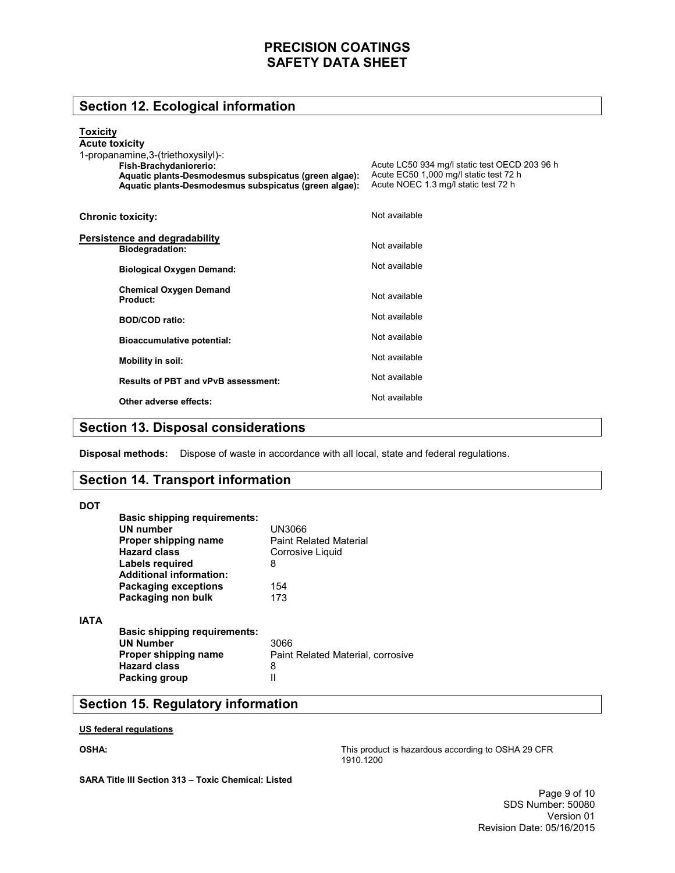## **Section 12. Ecological information**

### **Toxicity**

| <b>Acute toxicity</b><br>1-propanamine, 3-(triethoxysilyl)-:<br>Fish-Brachydaniorerio:<br>Aquatic plants-Desmodesmus subspicatus (green algae):<br>Aquatic plants-Desmodesmus subspicatus (green algae): | Acute LC50 934 mg/l static test OECD 203 96 h<br>Acute EC50 1,000 mg/l static test 72 h<br>Acute NOEC 1.3 mg/l static test 72 h |
|----------------------------------------------------------------------------------------------------------------------------------------------------------------------------------------------------------|---------------------------------------------------------------------------------------------------------------------------------|
| <b>Chronic toxicity:</b>                                                                                                                                                                                 | Not available                                                                                                                   |
| Persistence and degradability<br><b>Biodegradation:</b>                                                                                                                                                  | Not available                                                                                                                   |
| <b>Biological Oxygen Demand:</b>                                                                                                                                                                         | Not available                                                                                                                   |
| <b>Chemical Oxygen Demand</b><br>Product:                                                                                                                                                                | Not available                                                                                                                   |
| <b>BOD/COD</b> ratio:                                                                                                                                                                                    | Not available                                                                                                                   |
| <b>Bioaccumulative potential:</b>                                                                                                                                                                        | Not available                                                                                                                   |
| Mobility in soil:                                                                                                                                                                                        | Not available                                                                                                                   |
| <b>Results of PBT and vPvB assessment:</b>                                                                                                                                                               | Not available                                                                                                                   |
| Other adverse effects:                                                                                                                                                                                   | Not available                                                                                                                   |

## **Section 13. Disposal considerations**

**Disposal methods:** Dispose of waste in accordance with all local, state and federal regulations.

### **Section 14. Transport information**

#### **DOT**

|             | <b>Basic shipping requirements:</b><br>UN number<br>Proper shipping name<br><b>Hazard class</b>        | UN3066<br><b>Paint Related Material</b><br>Corrosive Liquid |
|-------------|--------------------------------------------------------------------------------------------------------|-------------------------------------------------------------|
|             | Labels required<br><b>Additional information:</b><br><b>Packaging exceptions</b><br>Packaging non bulk | 8<br>154<br>173                                             |
| <b>IATA</b> | <b>Basic shipping requirements:</b><br><b>UN Number</b><br>Proper shipping name<br><b>Hazard class</b> | 3066<br>Paint Related Material, corrosive<br>8              |
|             | Packing group                                                                                          |                                                             |

## **Section 15. Regulatory information**

#### **US federal regulations**

### **OSHA:**

This product is hazardous according to OSHA 29 CFR 1910.1200

**SARA Title III Section 313 – Toxic Chemical: Listed**